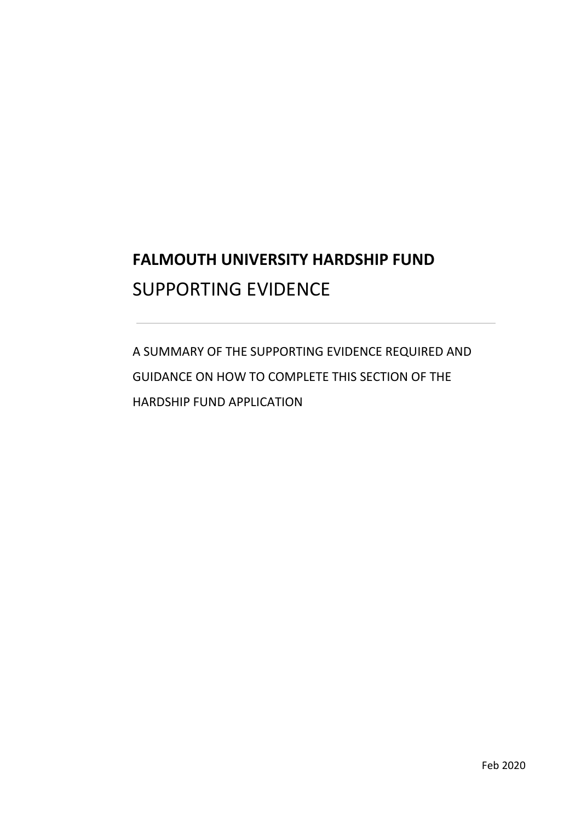# **FALMOUTH UNIVERSITY HARDSHIP FUND**  SUPPORTING EVIDENCE

 GUIDANCE ON HOW TO COMPLETE THIS SECTION OF THE A SUMMARY OF THE SUPPORTING EVIDENCE REQUIRED AND HARDSHIP FUND APPLICATION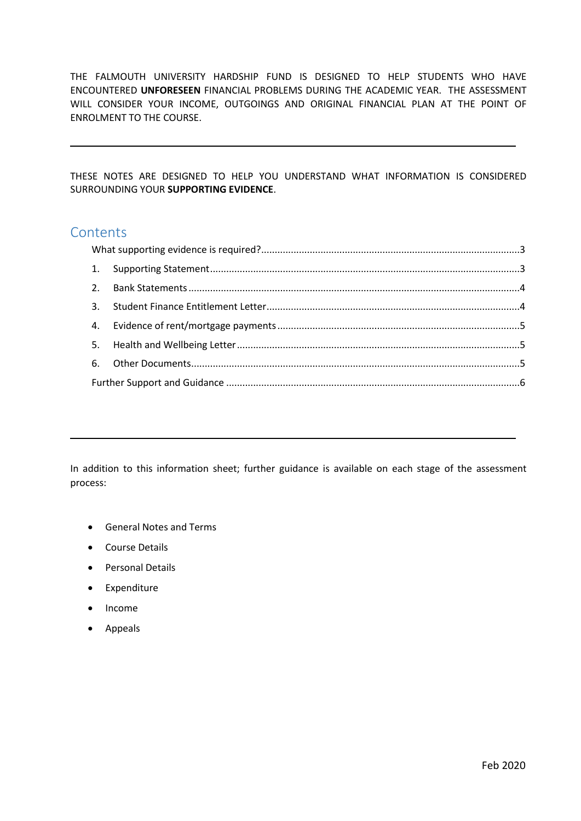THE FALMOUTH UNIVERSITY HARDSHIP FUND IS DESIGNED TO HELP STUDENTS WHO HAVE ENCOUNTERED **UNFORESEEN** FINANCIAL PROBLEMS DURING THE ACADEMIC YEAR. THE ASSESSMENT WILL CONSIDER YOUR INCOME, OUTGOINGS AND ORIGINAL FINANCIAL PLAN AT THE POINT OF ENROLMENT TO THE COURSE.

 THESE NOTES ARE DESIGNED TO HELP YOU UNDERSTAND WHAT INFORMATION IS CONSIDERED SURROUNDING YOUR **SUPPORTING EVIDENCE**.

## **Contents**

 In addition to this information sheet; further guidance is available on each stage of the assessment process:

- General Notes and Terms
- Course Details
- Personal Details
- Expenditure
- Income
- Appeals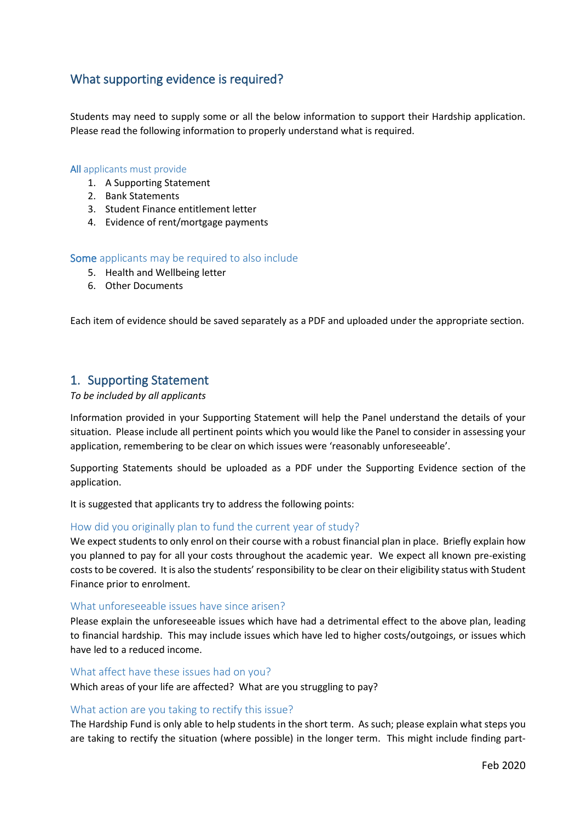# <span id="page-2-0"></span>What supporting evidence is required?

 Students may need to supply some or all the below information to support their Hardship application. Please read the following information to properly understand what is required.

#### All applicants must provide

- 1. A Supporting Statement
- 2. Bank Statements
- 3. Student Finance entitlement letter
- 4. Evidence of rent/mortgage payments

## Some applicants may be required to also include

- 5. Health and Wellbeing letter
- 6. Other Documents

Each item of evidence should be saved separately as a PDF and uploaded under the appropriate section.

## <span id="page-2-1"></span>1. Supporting Statement

#### *To be included by all applicants*

 situation. Please include all pertinent points which you would like the Panel to consider in assessing your Information provided in your Supporting Statement will help the Panel understand the details of your application, remembering to be clear on which issues were 'reasonably unforeseeable'.

 Supporting Statements should be uploaded as a PDF under the Supporting Evidence section of the application.

It is suggested that applicants try to address the following points:

## How did you originally plan to fund the current year of study?

 We expect students to only enrol on their course with a robust financial plan in place. Briefly explain how you planned to pay for all your costs throughout the academic year. We expect all known pre-existing costs to be covered. It is also the students' responsibility to be clear on their eligibility status with Student Finance prior to enrolment.

### What unforeseeable issues have since arisen?

 to financial hardship. This may include issues which have led to higher costs/outgoings, or issues which Please explain the unforeseeable issues which have had a detrimental effect to the above plan, leading have led to a reduced income.

#### What affect have these issues had on you?

Which areas of your life are affected? What are you struggling to pay?

#### What action are you taking to rectify this issue?

 The Hardship Fund is only able to help students in the short term. As such; please explain what steps you are taking to rectify the situation (where possible) in the longer term. This might include finding part-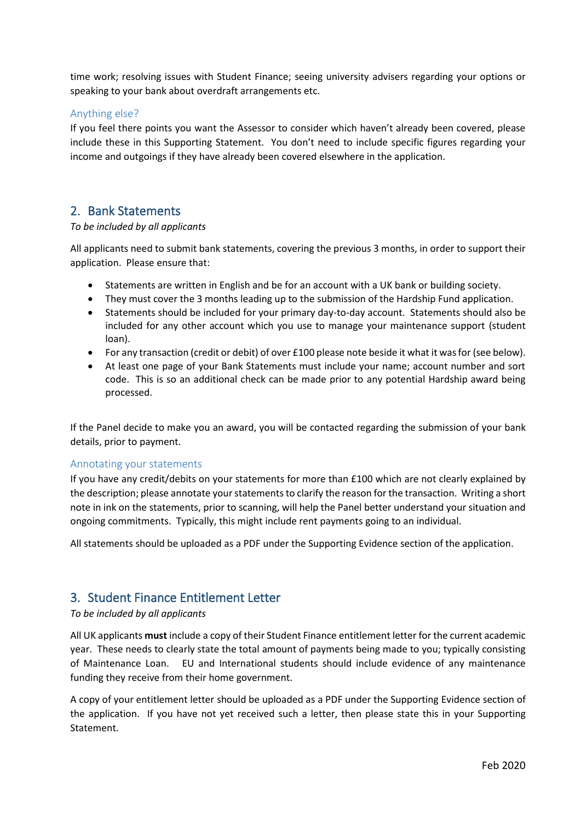time work; resolving issues with Student Finance; seeing university advisers regarding your options or speaking to your bank about overdraft arrangements etc.

## Anything else?

 If you feel there points you want the Assessor to consider which haven't already been covered, please include these in this Supporting Statement. You don't need to include specific figures regarding your income and outgoings if they have already been covered elsewhere in the application.

## <span id="page-3-0"></span>2. Bank Statements

## *To be included by all applicants*

All applicants need to submit bank statements, covering the previous 3 months, in order to support their application. Please ensure that:

- Statements are written in English and be for an account with a UK bank or building society.
- They must cover the 3 months leading up to the submission of the Hardship Fund application.
- • Statements should be included for your primary day-to-day account. Statements should also be included for any other account which you use to manage your maintenance support (student loan).
- For any transaction (credit or debit) of over £100 please note beside it what it was for (see below).
- code. This is so an additional check can be made prior to any potential Hardship award being • At least one page of your Bank Statements must include your name; account number and sort processed.

 If the Panel decide to make you an award, you will be contacted regarding the submission of your bank details, prior to payment.

## Annotating your statements

 If you have any credit/debits on your statements for more than £100 which are not clearly explained by the description; please annotate your statements to clarify the reason for the transaction. Writing a short note in ink on the statements, prior to scanning, will help the Panel better understand your situation and ongoing commitments. Typically, this might include rent payments going to an individual.

All statements should be uploaded as a PDF under the Supporting Evidence section of the application.

## <span id="page-3-1"></span>3. Student Finance Entitlement Letter

## *To be included by all applicants*

 All UK applicants **must** include a copy of their Student Finance entitlement letter for the current academic year. These needs to clearly state the total amount of payments being made to you; typically consisting of Maintenance Loan. EU and International students should include evidence of any maintenance funding they receive from their home government.

 A copy of your entitlement letter should be uploaded as a PDF under the Supporting Evidence section of the application. If you have not yet received such a letter, then please state this in your Supporting Statement.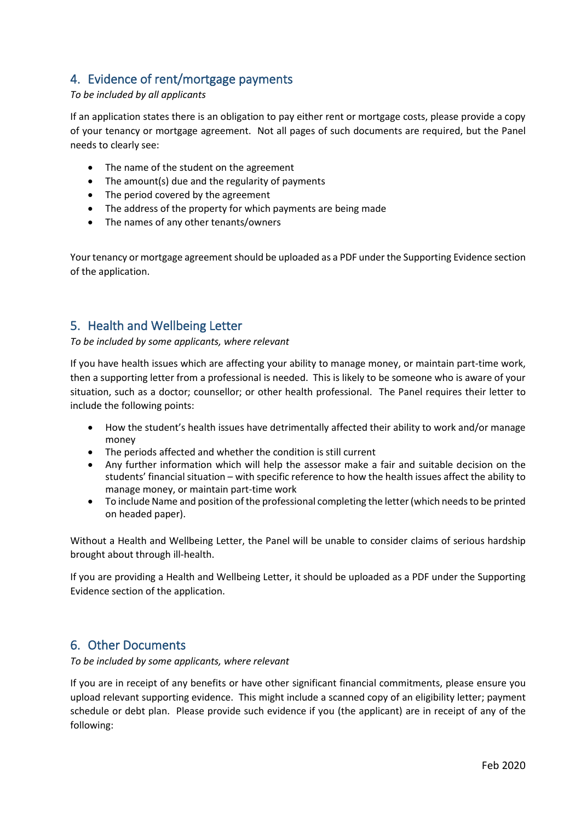# <span id="page-4-0"></span>4. Evidence of rent/mortgage payments

## *To be included by all applicants*

 If an application states there is an obligation to pay either rent or mortgage costs, please provide a copy of your tenancy or mortgage agreement. Not all pages of such documents are required, but the Panel needs to clearly see:

- The name of the student on the agreement
- The amount(s) due and the regularity of payments
- The period covered by the agreement
- The address of the property for which payments are being made
- The names of any other tenants/owners

 Your tenancy or mortgage agreement should be uploaded as a PDF under the Supporting Evidence section of the application.

# <span id="page-4-1"></span>5. Health and Wellbeing Letter

*To be included by some applicants, where relevant* 

 If you have health issues which are affecting your ability to manage money, or maintain part-time work, then a supporting letter from a professional is needed. This is likely to be someone who is aware of your situation, such as a doctor; counsellor; or other health professional. The Panel requires their letter to include the following points:

- How the student's health issues have detrimentally affected their ability to work and/or manage money
- The periods affected and whether the condition is still current
- • Any further information which will help the assessor make a fair and suitable decision on the students' financial situation – with specific reference to how the health issues affect the ability to manage money, or maintain part-time work
- • To include Name and position of the professional completing the letter (which needs to be printed on headed paper).

 Without a Health and Wellbeing Letter, the Panel will be unable to consider claims of serious hardship brought about through ill-health.

 If you are providing a Health and Wellbeing Letter, it should be uploaded as a PDF under the Supporting Evidence section of the application.

# <span id="page-4-2"></span>6. Other Documents

*To be included by some applicants, where relevant* 

 If you are in receipt of any benefits or have other significant financial commitments, please ensure you upload relevant supporting evidence. This might include a scanned copy of an eligibility letter; payment schedule or debt plan. Please provide such evidence if you (the applicant) are in receipt of any of the following: